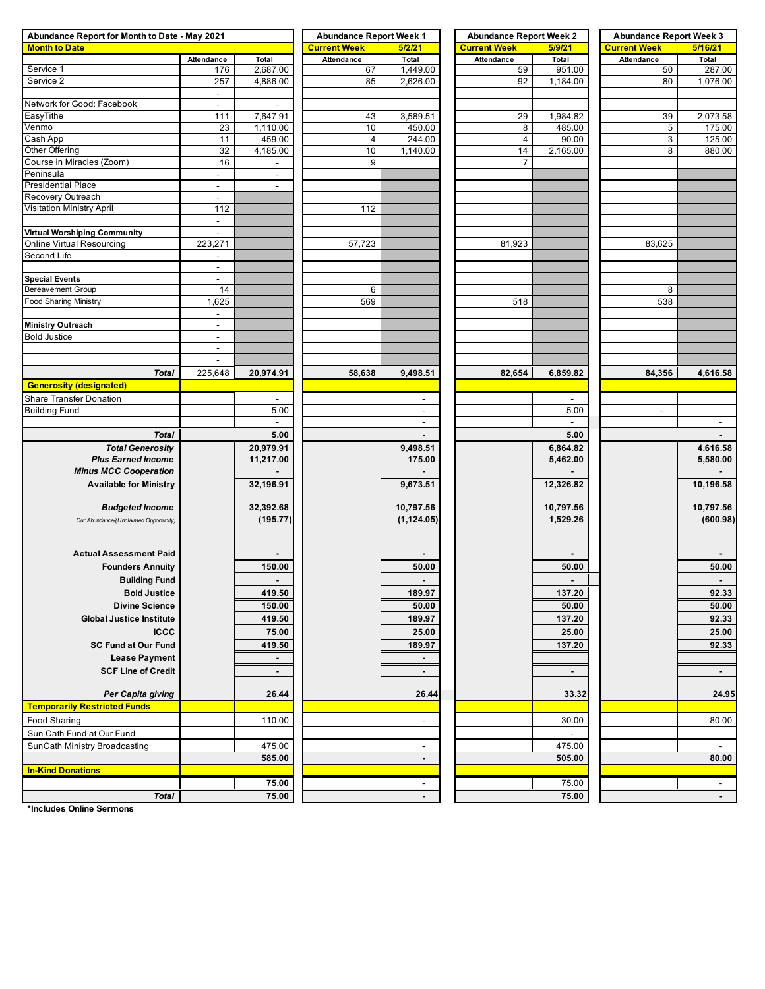| Abundance Report for Month to Date - May 2021 |                                            |                                  | <b>Abundance Report Week 1</b> |                          | <b>Abundance Report Week 2</b> |                | <b>Abundance Report Week 3</b> |                          |  |  |
|-----------------------------------------------|--------------------------------------------|----------------------------------|--------------------------------|--------------------------|--------------------------------|----------------|--------------------------------|--------------------------|--|--|
| <b>Month to Date</b>                          |                                            |                                  | <b>Current Week</b>            | 5/2/21                   | <b>Current Week</b>            | 5/9/21         | <b>Current Week</b>            | 5/16/21                  |  |  |
|                                               | Attendance                                 | Total                            | Attendance                     | Total                    | Attendance                     | Total          | Attendance                     | Total                    |  |  |
| Service 1                                     | 176                                        | 2,687.00                         | 67                             | 1,449.00                 | 59                             | 951.00         | 50                             | 287.00                   |  |  |
| Service 2                                     | 257                                        | 4,886.00                         | 85                             | 2,626.00                 | 92                             | 1,184.00       | 80                             | 1,076.00                 |  |  |
|                                               | $\blacksquare$                             |                                  |                                |                          |                                |                |                                |                          |  |  |
| Network for Good: Facebook                    | $\blacksquare$                             | $\blacksquare$                   |                                |                          |                                |                |                                |                          |  |  |
| EasyTithe                                     | 111                                        | 7,647.91                         | 43                             | 3,589.51                 | 29                             | 1,984.82       | 39                             | 2,073.58                 |  |  |
| Venmo                                         | 23                                         | 1,110.00                         | 10                             | 450.00                   | 8                              | 485.00         | 5                              | 175.00                   |  |  |
| Cash App                                      | 11                                         | 459.00                           | $\overline{\mathbf{4}}$        | 244.00                   | $\overline{4}$                 | 90.00          | 3                              | 125.00                   |  |  |
| Other Offering                                | 32                                         | 4,185.00                         | 10                             | 1,140.00                 | 14                             | 2,165.00       | 8                              | 880.00                   |  |  |
| Course in Miracles (Zoom)                     | 16                                         |                                  | 9                              |                          | $\overline{7}$                 |                |                                |                          |  |  |
| Peninsula                                     | $\blacksquare$                             | $\overline{\phantom{a}}$         |                                |                          |                                |                |                                |                          |  |  |
| Presidential Place                            | $\overline{\phantom{a}}$                   | $\overline{\phantom{a}}$         |                                |                          |                                |                |                                |                          |  |  |
| Recovery Outreach                             | $\blacksquare$                             |                                  |                                |                          |                                |                |                                |                          |  |  |
| Visitation Ministry April                     | 112                                        |                                  | 112                            |                          |                                |                |                                |                          |  |  |
|                                               | $\blacksquare$                             |                                  |                                |                          |                                |                |                                |                          |  |  |
| Virtual Worshiping Community                  | $\blacksquare$                             |                                  |                                |                          |                                |                |                                |                          |  |  |
| Online Virtual Resourcing                     | 223,271                                    |                                  | 57,723                         |                          | 81,923                         |                | 83,625                         |                          |  |  |
| Second Life                                   | $\blacksquare$<br>$\overline{\phantom{a}}$ |                                  |                                |                          |                                |                |                                |                          |  |  |
| <b>Special Events</b>                         | $\overline{\phantom{a}}$                   |                                  |                                |                          |                                |                |                                |                          |  |  |
| Bereavement Group                             | 14                                         |                                  | 6                              |                          |                                |                | 8                              |                          |  |  |
| <b>Food Sharing Ministry</b>                  | 1,625                                      |                                  | 569                            |                          | 518                            |                | 538                            |                          |  |  |
|                                               | $\blacksquare$                             |                                  |                                |                          |                                |                |                                |                          |  |  |
| Ministry Outreach                             | $\blacksquare$                             |                                  |                                |                          |                                |                |                                |                          |  |  |
| <b>Bold Justice</b>                           | $\blacksquare$                             |                                  |                                |                          |                                |                |                                |                          |  |  |
|                                               | $\sim$                                     |                                  |                                |                          |                                |                |                                |                          |  |  |
|                                               | $\overline{\phantom{a}}$                   |                                  |                                |                          |                                |                |                                |                          |  |  |
| <b>Total</b>                                  | 225,648                                    | 20,974.91                        | 58,638                         | 9,498.51                 | 82,654                         | 6,859.82       | 84,356                         | 4,616.58                 |  |  |
| <b>Generosity (designated)</b>                |                                            |                                  |                                |                          |                                |                |                                |                          |  |  |
| <b>Share Transfer Donation</b>                |                                            |                                  |                                |                          |                                |                |                                |                          |  |  |
| <b>Building Fund</b>                          |                                            | $\overline{\phantom{a}}$<br>5.00 |                                | $\sim$<br>$\sim$         |                                | $\sim$<br>5.00 | $\sim$                         |                          |  |  |
|                                               |                                            | $\overline{\phantom{a}}$         |                                | $\overline{\phantom{a}}$ |                                | $\blacksquare$ |                                | $\overline{\phantom{a}}$ |  |  |
|                                               |                                            |                                  |                                |                          |                                |                |                                |                          |  |  |
| <b>Total</b>                                  |                                            | 5.00                             |                                | $\blacksquare$           |                                | 5.00           |                                |                          |  |  |
| <b>Total Generosity</b>                       |                                            | 20,979.91                        |                                | 9,498.51                 |                                | 6,864.82       |                                | 4,616.58                 |  |  |
| <b>Plus Earned Income</b>                     |                                            | 11,217.00                        |                                | 175.00                   |                                | 5,462.00       |                                | 5,580.00                 |  |  |
| <b>Minus MCC Cooperation</b>                  |                                            |                                  |                                |                          |                                |                |                                |                          |  |  |
| <b>Available for Ministry</b>                 |                                            | 32,196.91                        |                                | 9,673.51                 |                                | 12,326.82      |                                | 10,196.58                |  |  |
|                                               |                                            |                                  |                                |                          |                                |                |                                |                          |  |  |
| <b>Budgeted Income</b>                        |                                            | 32,392.68                        |                                | 10,797.56                |                                | 10,797.56      |                                | 10,797.56                |  |  |
| Our Abundance/(Unclaimed Opportunity)         |                                            | (195.77)                         |                                | (1, 124.05)              |                                | 1,529.26       |                                | (600.98)                 |  |  |
|                                               |                                            |                                  |                                |                          |                                |                |                                |                          |  |  |
| <b>Actual Assessment Paid</b>                 |                                            |                                  |                                |                          |                                |                |                                |                          |  |  |
|                                               |                                            |                                  |                                |                          |                                |                |                                |                          |  |  |
| <b>Founders Annuity</b>                       |                                            | 150.00                           |                                | 50.00                    |                                | 50.00          |                                | 50.00                    |  |  |
| <b>Building Fund</b>                          |                                            |                                  |                                |                          |                                |                |                                |                          |  |  |
| <b>Bold Justice</b>                           |                                            | 419.50                           |                                | 189.97                   |                                | 137.20         |                                | 92.33                    |  |  |
| <b>Divine Science</b>                         |                                            | 150.00                           |                                | 50.00                    |                                | 50.00          |                                | 50.00                    |  |  |
| <b>Global Justice Institute</b>               |                                            | 419.50                           |                                | 189.97                   |                                | 137.20         |                                | 92.33                    |  |  |
| <b>ICCC</b>                                   |                                            | 75.00                            |                                | 25.00                    |                                | 25.00          |                                | 25.00                    |  |  |
| <b>SC Fund at Our Fund</b>                    |                                            | 419.50                           |                                | 189.97                   |                                | 137.20         |                                | 92.33                    |  |  |
| <b>Lease Payment</b>                          |                                            |                                  |                                |                          |                                |                |                                |                          |  |  |
| <b>SCF Line of Credit</b>                     |                                            | $\blacksquare$                   |                                |                          |                                | $\blacksquare$ |                                | $\blacksquare$           |  |  |
|                                               |                                            |                                  |                                |                          |                                |                |                                |                          |  |  |
| Per Capita giving                             |                                            | 26.44                            |                                | 26.44                    |                                | 33.32          |                                | 24.95                    |  |  |
| <b>Temporarily Restricted Funds</b>           |                                            |                                  |                                |                          |                                |                |                                |                          |  |  |
| <b>Food Sharing</b>                           |                                            | 110.00                           |                                | $\overline{\phantom{a}}$ |                                | 30.00          |                                | 80.00                    |  |  |
| Sun Cath Fund at Our Fund                     |                                            |                                  |                                |                          |                                | $\sim$         |                                |                          |  |  |
|                                               |                                            |                                  |                                |                          |                                |                |                                |                          |  |  |
| SunCath Ministry Broadcasting                 |                                            | 475.00<br>585.00                 |                                | $\overline{\phantom{a}}$ |                                | 475.00         |                                | 80.00                    |  |  |
|                                               |                                            |                                  |                                | $\blacksquare$           |                                | 505.00         |                                |                          |  |  |
| <b>In-Kind Donations</b>                      |                                            |                                  |                                |                          |                                |                |                                |                          |  |  |
|                                               |                                            | 75.00                            |                                |                          |                                | 75.00          |                                | $\overline{\phantom{a}}$ |  |  |
| <b>Total</b>                                  |                                            | 75.00                            |                                |                          |                                | 75.00          |                                | $\blacksquare$           |  |  |

**\*Includes Online Sermons**